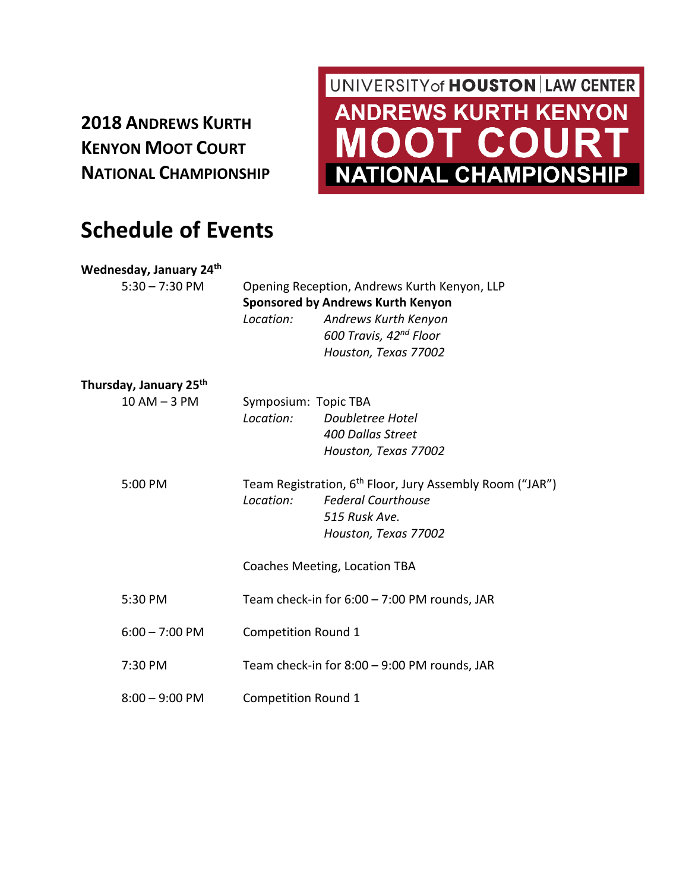## **2018 ANDREWS KURTH KENYON MOOT COURT NATIONAL CHAMPIONSHIP**

## UNIVERSITY of **HOUSTON** LAW CENTER **ANDREWS KURTH KENYON OT COURT**  $\blacksquare$ **NATIONAL CHAMPIONSHIP**

## **Schedule of Events**

**Wednesday, January 24th**

|                                    | Location:                                                            | Andrews Kurth Kenyon<br>600 Travis, 42 <sup>nd</sup> Floor<br>Houston, Texas 77002 |  |
|------------------------------------|----------------------------------------------------------------------|------------------------------------------------------------------------------------|--|
| Thursday, January 25 <sup>th</sup> |                                                                      |                                                                                    |  |
| $10$ AM $-$ 3 PM                   | Symposium: Topic TBA                                                 |                                                                                    |  |
|                                    | Location:                                                            | Doubletree Hotel                                                                   |  |
|                                    |                                                                      | 400 Dallas Street                                                                  |  |
|                                    |                                                                      | Houston, Texas 77002                                                               |  |
| 5:00 PM                            | Team Registration, 6 <sup>th</sup> Floor, Jury Assembly Room ("JAR") |                                                                                    |  |
|                                    | Location:                                                            | <b>Federal Courthouse</b>                                                          |  |
|                                    |                                                                      | 515 Rusk Ave.                                                                      |  |
|                                    |                                                                      | Houston, Texas 77002                                                               |  |
|                                    |                                                                      | Coaches Meeting, Location TBA                                                      |  |
| 5:30 PM                            | Team check-in for $6:00 - 7:00$ PM rounds, JAR                       |                                                                                    |  |
| $6:00 - 7:00$ PM                   | <b>Competition Round 1</b>                                           |                                                                                    |  |
| 7:30 PM                            | Team check-in for $8:00 - 9:00$ PM rounds, JAR                       |                                                                                    |  |
| $8:00 - 9:00$ PM                   | <b>Competition Round 1</b>                                           |                                                                                    |  |
|                                    |                                                                      |                                                                                    |  |

5:30 – 7:30 PM Opening Reception, Andrews Kurth Kenyon, LLP

**Sponsored by Andrews Kurth Kenyon**